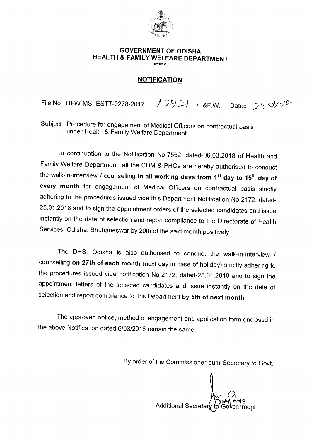

## **GOVERNMENT OF ODISHA HEALTH & FAMILY WELFARE DEPARTMENT**

## **NOTIFICATION**

File No. HFW-MSI-ESTT-0278-2017 /  $2921$  /H&F.W. Dated  $25.09\%$ 

Subject : Procedure for engagement of Medical Officers on contractual basis under Health & Family Welfare Department.

In continuation to the Notification No-7552, dated-06.03.2018 of Health and Family Welfare Department, all the CDM & PHOs are hereby authorised to conduct the walk-in-interview / counselling in all working days from 1<sup>st</sup> day to 15<sup>th</sup> day of **every month** for engagement of Medical Officers on contractual basis strictly adhering to the procedures issued vide this Department Notification No-2172, dated-25.01.2018 and to sign the appointment orders of the selected candidates and issue instantly on the date of selection and report compliance to the Directorate of Health Services, Odisha, Bhubaneswar by 20th of the said month positively.

The DHS, Odisha is also authorised to conduct the walk-in-interview / counselling **on 27th of each month** (next day in case of holiday) strictly adhering to the procedures issued vide notification No-2172, dated-25.01.2018 and to sign the appointment letters of the selected candidates and issue instantly on the date of selection and report compliance to this Department **by 5th of next month.** 

The approved notice, method of engagement and application form enclosed in the above Notification dated 6/03/2018 remain the same.

By order of the Commissioner-cum-Secretary to Govt,

Additional Secretar